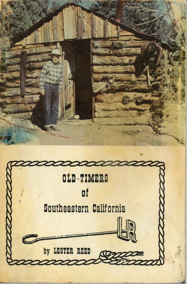

by LESTER REED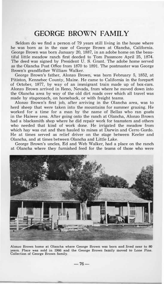## **GEORGE BROWN FAMILY**

Seldom do we find a person of 79 years still living in the house where he was born as in the case of George Brown at Olancha, California. George Brown was born January 20, 1887, in an adobe home on the beautiful little meadow ranch first deeded to Tom Passmore April 25, 1874. The deed was signed by President U. S. Grant. The adobe home served as the Olancha Post Office from 1870 to 1891. The postmaster was George Brown's grandfather William Walker.

George Brown's father, Alonzo Brown, was born February 5, 1852, at Pitiston, Kennebec County, Maine. He came to California in the forepart of October, 1877, by way of an immigrant train made up of box-cars. Alonzo Brown arrived in Reno, Nevada, from where he moved down into the Olancha area by way of the old dirt roads over which all travel was made by stagecoach, on horseback, or with freight teams.

Alonzo Brown's first job, after arriving in the Olancha area, was to herd sheep that were taken into the mountains for summer grazing. He worked for a time for a man by the name of Bellas who ran goats in the Haiwee area. After going onto the ranch at Olancha, Alonzo Brown had a blacksmith shop where he did repair work for teamsters and others who needed that kind of work done. He irrigated the meadow from which hay was cut and then hauled to mines at Darwin and Cerro Gordo. He at times served as relief driver on the stage between Keeler and Olancha, and at times between Olancha and Little Lake.

George Brown's uncles, Ed and Web Walker, had a place on the ranch at Olancha where they furnished feed for the teams of those who were



**Alonzo Brown home at Olancha where George Brown was born and.Jived near to 80 years. Place was sold in 1966 and tbe George Brown family moved to Lone Pine. Collection of George Brown family.**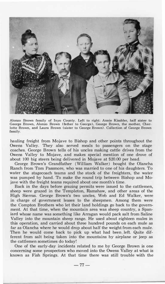

**Alonzo Brown family of Inyo County. Left to right: Annie Kimbler, half sister to George Brown, Alonzo Brown (father to George), George Brown, the mother, Charlotte Brown, and Laura Brown (sister to George Brown). Collection of George Brown family.** 

**hauling freight from Mojave to Bishop and other points throughout the Owens Valley. They also served meals to passengers on the stage coaches. George Brown tells of his uncles making cattle drives from the Owens Valley· to Mojave, and makes special mention of one drove of about 100 big steers being delivered in Mojave at \$20.00 per head.** 

**George Brown's Grandfather (William Walker) bought the Olancha Ranch from Tom Passmore, who was married to one of his daughters. To water the stagecoach teams and the stock of the freighters, the water was pumped by hand. To make the round trip between Bishop and Mojave with the freight teams required about one month's time.** 

**Back in the days before grazing permits were issued to the cattlemen, sheep were grazed in the Templeton, Ramshaw, and other areas of the High Sierras. George Brown's two uncles, Web and Ed Walker, were in charge of government leases to the sheepmen. Among them were the Compton Brothers who let their land holdings go back to the government. At that time, when the mountain area was sheep country, a Spaniard whose name was something like Arragan would pack salt from Saline Valley into the mountain sheep range. He used about eighteen mules in this operation, and carried about three hundred pounds on each mule as far as Olancha where he would drop about half the weight from each mule. Then he would come back to pick up what had been left. Quite different from salt being taken into the mountains by airplane or jeep as the cattlemen sometimes do today!** 

**One of the early-day incidents related to me by George Brown is one concerning some prospectors who moved into the Owens Valley at what is known as Fish Springs. At that time there was still trouble with the**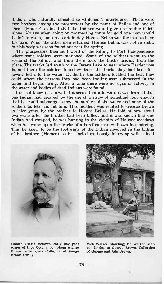**Indians who naturally objected to whiteman's interference. There were two brothers among the prospectors by the name of Bellas and one of them (Horace) claimed that the Indians would give no trouble if left alone. Always when going on prospecting tours for gold one man would be left in camp, and on a certain day Horace Bellas was the man to have his turn. When the other men returned, Horace Bellas was not in sight, but his body was soon found out near the spring.** 

**The prospectors then sent word of the killing to Fort Independence where some soldiers were stationed. Some of the soldiers went to the scene of the killing, and from there took the tracks leading from the place. The tracks led south to the Owens Lake to near where Bartlet now is, and there the soldiers found evidence the tracks they had been following led into the water. Evidently the soldiers located the best they could where the persons they had been trailing were submerged in the water and began firing. After a time there were no signs of activity in the water and bodies of dead Indians were found.** 

**I do not know just how, but it seems that afterward it was learned that one Indian had escaped by the use of a straw of somekind long enough that he could submerge below the surface of the water and none of the soldiers bullets had hit him. This incident was related to George Brown in later years by the brother to Horace Bellas. He told of how about two years after the brother had been killed, and it was known that one Indian had escaped, he was hunting in the vicinity of Haiwee meadows when he came upon the tracks of a barefoot man with two toes missing. This he knew to be the footprints of the Indian involved in the killing of his brother (Horace) so he started cautiously following with a load** 





**Horace (Bart) Bellows, early day goat owner of Inyo County, for whom Alonzo Brown herded goats. Collection of George Brown family.** 

**Web Walker, standing; Ed Walker, seated. Uncles to George Brown. Collection of George and Ada Brown.**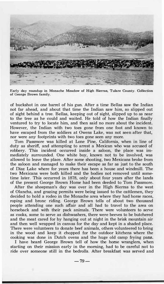

**Early day roundup in Monache Meadow of High Sierras, Tulare County. Collection of George Brown family.** 

of buckshot in one barrel of his **gun.** After a time Bellas saw the Indian not far ahead, and about that time the Indian saw **him,** so slipped out of sight behind a tree. Bellas, keeping out of sight, slipped up to as near to the tree as he could and waited. He told of how the Indian finally ventured to try to locate him, and then said no more about the incident. However, the Indian with two toes gone from one foot and known to have escaped from the soldiers at Owens Lake, was not seen after that, nor were any footprints with two toes gone seen any more.

Tom Passmore was killed at Lone Pine, California, when in line of duty as sheriff, and attempting to arrest a Mexican who was accused of robbery. This incident occurred inside a saloon, the place was immediately surrounded. One white boy, known not to be involved, was allowed to leave the place. After some shooting, two Mexicans broke from the saloon and managed to make their escape as far as just to the south of Diaz Lake where for years there has been a house and windmill. The two Mexicans were both killed and the bodies not removed until sometime later. This occurred in 1878, only about four years after the lands of the present George Brown Home had been deeded to Tom Passmore.

After the sheepman's day was over in the High Sierras to the west of Olancha, and grazing permits were being issued to the cattlemen, they decided to hold a rodeo in the Monache area where they had horse races, roping and bronc riding. George Brown tells of about two thousand people attending one such affair and all had to travel to the area on horseback and with their pack animals. There were volunteers to serve as cooks, some to serve as dishwashers, there were beeves to be butchered and the meat cared for by hanging out at night in the brisk mountain air and then well wrapped in canvas for the day and kept in a shaded place. There were volunteers to donate beef animals, others volunteered to bring in the wood and keep it chopped *fot* the outdoor kitchens where the cooking was done in Dutch ovens and the huge old camp frying pans.

I have heard George Brown tell of how the horse wranglers, when starting on their mission early in the morning, had to be careful not to ride over someone still in the bedrolls. After breakfast was served and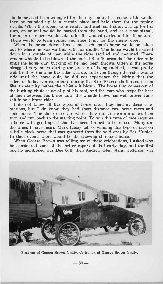**the horses had been wrangled for the day's activities, some cattle would then be rounded up to a certain place and held there for the roping events. When the ropers were ready, and each contestant was up for his turn, an animal would be parted from the band, and at a time signal, the roper or ropers would take after the animal parted out for their turn. There would be team roping and steer tying for the single roper.** 

**When the bronc riders' time came each man's horse would be taken out to where he was waiting with his saddle. The horse would be eared down by a couple of men while the rider saddled and mounted. There was no whistle to be blown at the end of 8 or 10 seconds. The rider rode until the horse quit bucking or he had been thrown. Often if the horse struggled very much during the process of being saddled, it was pretty well tired by the time the rider was up, and even though the rider was to ride until the horse quit, he did not experience the jolting that the riders of today can experience during the 8 or 10 seconds that can seem like an eternity before the whistle is blown. The horse that comes out of the bucking chute is usually at his best, and the man who keeps the best of them between his knees until the whistle blows has well proven himself to be a bronc rider.** 

**I do not know all the types of horse races they had at these celebrations, but I do know they had short distance cow horse races and stake races. The stake races are where they run to a certain place, then turn and run back to the starting point. To win this type of race requires a horse with good speed that has been trained to be reined. Many are the times I have heard Mark Lacey tell of winning this type of race on a little black horse that was gathered from the wild ones by Bev Hunter. In their events there would be the showing of reined horses.** 

**When George Brown was telling me of these celebrations, I asked who he considered some of the better ropers of that early day, and the first one he mentioned was Dee Gill, then Andrew Glen. Army Jefferson was** 



**First car of George Brown family. Collection of George Brown family.** 

**-80-**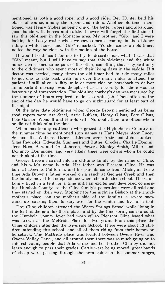mentioned as both a good roper and a good rider. Bev Hunter held his place, of course, among the ropers and riders. Another old-timer mentioned was Henry Stokes as being one of the better ropers and all-around good hands with horses and cattle. I never will forget the first time I saw this old-timer in the Monache area. My brother, "Gib," and I were looking for Lacey cattle when we saw someone coming in the distance riding a white horse, and "Gib" remarked, "Yonder comes an old-timer, notice the way he rides with the motion of the horse."

It would be difficult for me to try to describe just what it was that "Gib" meant, but I will have to say that this old-timer and the white horse each seemed to be part of the other, something that is typical only to the old-timers who spent most of their living days in the saddle. If a doctor was needed, many times the old-timer had to ride many miles to get one to ride back with him over the many miles to attend the patient if still alive. A fifty mile or more ride on horseback to deliver an important message was thought of as a necessity for there was no better way of transportation. The old-time cowboy's day was measured by the number of hours required to do a certain job. Then often at the end of the day he would have to go on night guard for at least part of the night.

Of the later date old-timers whom George Brown mentioned as being good ropers were Art Steel, Artie Lubken, Henry Olivas, Pete Olivas, Pete Garner, Wendell and Harold Gill. No doubt there are others whom he did not think of at the time.

When mentioning cattlemen who grazed the High Sierra Country in the summer time he mentioned such names as Hans Meyer, John Lacey Sr. and the Walkers. Other cattlemen were Artie and John Lubken, Silas Reynolds, Edwards, Summers and Butler. Crocker, Charlie Domini, Jens Ness, Bert and Ori Johnson, Powers, Stanley Smith, Miller, and Domingo Dominique, and very likely there were others whom he could not think of at the time.

George Brown married into an old-time family by the name of Cline, and his wife's name is Ada. Her father was Pleasant Cline. He was born at Downie, California, and his parents came from Michigan. For a time Ada Brown's father worked on a ranch at Georges Creek and then the family moved to Independence where she attended school. The Cline family lived in a tent for a time until an excitement developed concerning Rumbolt County, so the Cline family's possessions were all sold and they started on their way. Stopping for the night in Bishop at the grandmother's place (on the mother's side of the family) a severe snow came up, causing them to stay over for the winter and live in a tent.

The Cline children attended the Warm Springs School while living in the tent at the grandmother's place, and by the time spring came around, the Rumbolt County fever had worn off so Pleasant Cline leased what was known as the McBride Place for two years. From this place the Cline children attended the Riverside School. There were about 13 children attending this school, and all of them riding from their homes on horseback. The McBride place was located between Owens River and Owens Valley Canal, and all around them there was so much going on to interest young people that Ada Cline and her brother Charley did not learn enough to pass their grades. Cattle were being moved, great bands of sheep were passing through the area going to the summer ranges,

 $-81-$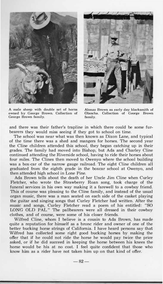

**A male sheep with double set of horns owned by George Brown. Collection of George Brown family.** 



**Alonzo Brown as early day blacksmith of Olancha. Collection of George Brown family.** 

and there was their father's trapline in which there could be some furbearers they would miss seeing if they got to school on time.

The school was near what was then known as Dixon Lane, and typical of the time there was a shed and mangers for horses. The second year the Cline children attended this school, they began catching up in their grades. The family had moved into Bishop, but Ada and Charley Cline continued attending the Riverside school, having to ride their horses about four miles. The Clines then moved to Owenyo where the school building was a box-car of the narrow gauge railroad. The eight Cline children all graduated from the eighth grade in the boxcar school at Owenyo, and then attended high school in Lone Pine.

Ada Brown tells about the death of her Uncle Jim Cline when Curley Fletcher, who wrote the Strawberry Roan song, took charge of the funeral services in his own way making it a farewell to a cowboy friend. This of course was pleasing to the Cline family, and instead of the usual organ music, there was a man seated on each side of the casket playing the guitar and singing songs that Curley Fletcher had written. After the music and songs, Curley Fletcher read a poem of his entitled: "SO LONG OLD PAL." The pallbearers were all dressed in their cowboy clothes, and of course, were some of his closer friends.

Wilfred Cline, whom I believe is a cousin to Ada Brown, has made quite a reputation for himself as a bronc rider and owner of one of the better bucking horse strings of California. I have heard persons say that Wilfred has collected some right good bucking horses by making the offer that if he could not ride the horse he would pay twice the price asked, or if he did succeed in keeping the horse between his knees the horse would be his at no cost. I feel quite confident that those who know **him** as a rider have not taken him up on that kind of offer.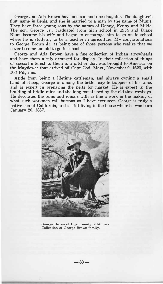George and Ada Brown have one son and one daughter. The daughter's first name is Lenis, and she is married to a man by the name of Munis. They have three young sons by the names of Danny, Kenny and Mikie. The son, George Jr., graduated from high school in 1954 and Diane Blum became his wife and began to encourage him to go on to school where he is studying to be a teacher in agriculture. My congratulations to George Brown Jr. as being one of those persons who realize that we never become too old to go to school.

George and Ada Brown have a fine collection of Indian arrowheads and have them nicely arranged for display. In their collection of things of special interest to them is a pitcher that was brought to America on the Mayflower that arrived off Cape Cod, Mass., November 9, 1620, with 103 Pilgrims.

Aside from being a lifetime cattleman, and always owning a small band of sheep, George is among the better coyote trappers of his time, and is expert in preparing the pelts for market. He is expert in the braiding of bridle reins and the long romal used by the old-time cowboys. He decorates the reins and romals with as fine a work in the making of what such workmen call buttons as I have ever seen. George is truly a native son of California, and is still living in the house where he was born January 20, 1887.



**George Brown of Inyo County old-timers. Collection of George Brown.family.**